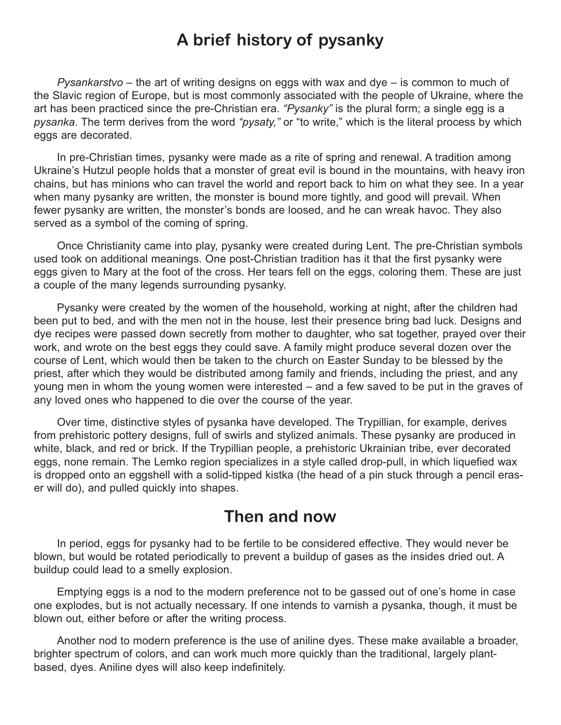## **A brief history of pysanky**

*Pysankarstvo* – the art of writing designs on eggs with wax and dye – is common to much of the Slavic region of Europe, but is most commonly associated with the people of Ukraine, where the art has been practiced since the pre-Christian era. "Pysanky" is the plural form; a single egg is a pysanka. The term derives from the word "pysaty," or "to write," which is the literal process by which eggs are decorated.

In pre-Christian times, pysanky were made as a rite of spring and renewal. A tradition among Ukraine's Hutzul people holds that a monster of great evil is bound in the mountains, with heavy iron chains, but has minions who can travel the world and report back to him on what they see. In a year when many pysanky are written, the monster is bound more tightly, and good will prevail. When fewer pysanky are written, the monster's bonds are loosed, and he can wreak havoc. They also served as a symbol of the coming of spring.

Once Christianity came into play, pysanky were created during Lent. The pre-Christian symbols used took on additional meanings. One post-Christian tradition has it that the first pysanky were eggs given to Mary at the foot of the cross. Her tears fell on the eggs, coloring them. These are just a couple of the many legends surrounding pysanky.

Pysanky were created by the women of the household, working at night, after the children had been put to bed, and with the men not in the house, lest their presence bring bad luck. Designs and dye recipes were passed down secretly from mother to daughter, who sat together, prayed over their work, and wrote on the best eggs they could save. A family might produce several dozen over the course of Lent, which would then be taken to the church on Easter Sunday to be blessed by the priest, after which they would be distributed among family and friends, including the priest, and any young men in whom the young women were interested – and a few saved to be put in the graves of any loved ones who happened to die over the course of the year.

Over time, distinctive styles of pysanka have developed. The Trypillian, for example, derives from prehistoric pottery designs, full of swirls and stylized animals. These pysanky are produced in white, black, and red or brick. If the Trypillian people, a prehistoric Ukrainian tribe, ever decorated eggs, none remain. The Lemko region specializes in a style called drop-pull, in which liquefied wax is dropped onto an eggshell with a solid-tipped kistka (the head of a pin stuck through a pencil eraser will do), and pulled quickly into shapes.

## **Then and now**

In period, eggs for pysanky had to be fertile to be considered effective. They would never be blown, but would be rotated periodically to prevent a buildup of gases as the insides dried out. A buildup could lead to a smelly explosion.

Emptying eggs is a nod to the modern preference not to be gassed out of one's home in case one explodes, but is not actually necessary. If one intends to varnish a pysanka, though, it must be blown out, either before or after the writing process.

Another nod to modern preference is the use of aniline dyes. These make available a broader, brighter spectrum of colors, and can work much more quickly than the traditional, largely plantbased, dyes. Aniline dyes will also keep indefinitely.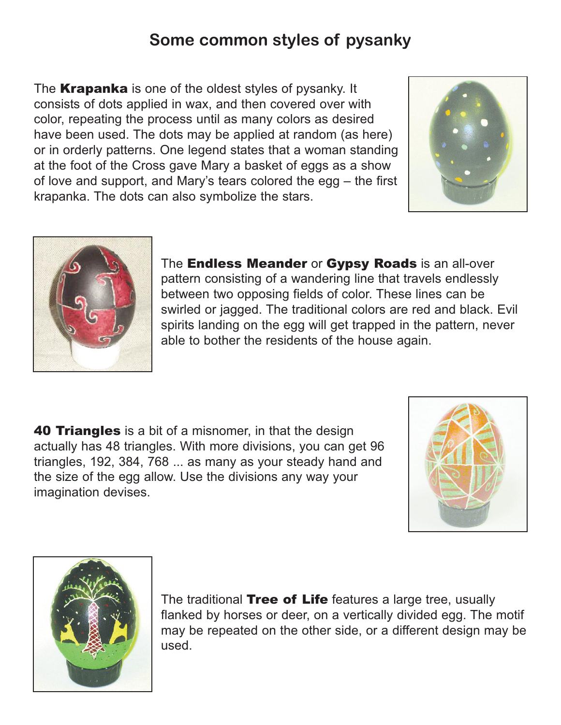## **Some common styles of pysanky**

The **Krapanka** is one of the oldest styles of pysanky. It consists of dots applied in wax, and then covered over with color, repeating the process until as many colors as desired have been used. The dots may be applied at random (as here) or in orderly patterns. One legend states that a woman standing at the foot of the Cross gave Mary a basket of eggs as a show of love and support, and Mary's tears colored the egg – the first krapanka. The dots can also symbolize the stars.





The **Endless Meander** or **Gypsy Roads** is an all-over pattern consisting of a wandering line that travels endlessly between two opposing fields of color. These lines can be swirled or jagged. The traditional colors are red and black. Evil spirits landing on the egg will get trapped in the pattern, never able to bother the residents of the house again.

**40 Triangles** is a bit of a misnomer, in that the design actually has 48 triangles. With more divisions, you can get 96 triangles, 192, 384, 768 ... as many as your steady hand and the size of the egg allow. Use the divisions any way your imagination devises.





The traditional Tree of Life features a large tree, usually flanked by horses or deer, on a vertically divided egg. The motif may be repeated on the other side, or a different design may be used.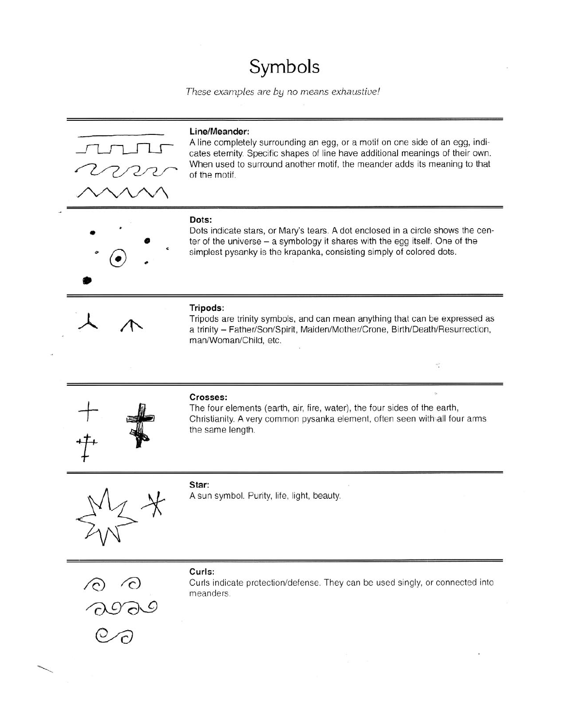These examples are by no means exhaustive!



#### Line/Meander:

A line completely surrounding an egg, or a motif on one side of an egg, indicates eternity. Specific shapes of line have additional meanings of their own. When used to surround another motif, the meander adds its meaning to that of the motif.

#### Dots:

Dots indicate stars, or Mary's tears. A dot enclosed in a circle shows the center of the universe  $-$  a symbology it shares with the egg itself. One of the simplest pysanky is the krapanka, consisting simply of colored dots.



#### Tripods:

Tripods are trinity symbols, and can mean anything that can be expressed as a trinity - Father/Son/Spirit, Maiden/Mother/Crone, Birth/Death/Resurrection, man/Woman/Child, etc.

 $\frac{1}{2}$ 



#### Crosses:

The four elements (earth, air, fire, water), the four sides of the earth, Christianity. A very common pysanka element, often seen with all four arms the same length.



#### Star:

A sun symbol. Purity, life, light, beauty.



#### Curls:

Curls indicate protection/defense. They can be used singly, or connected into meanders.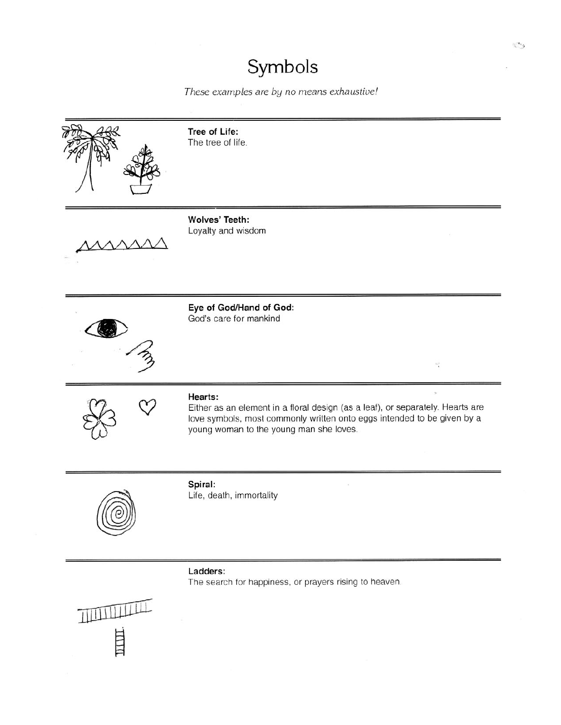These examples are by no means exhaustive!

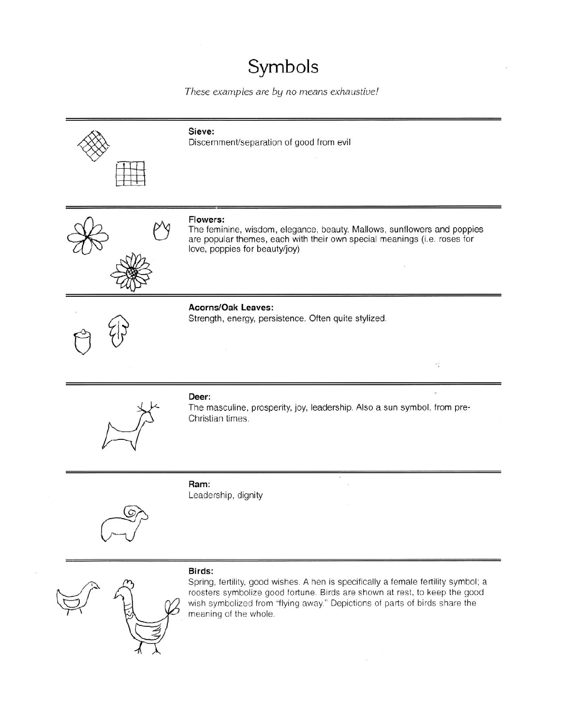These examples are by no means exhaustive!





#### Birds:

Spring, fertility, good wishes. A hen is specifically a female fertility symbol; a roosters symbolize good fortune. Birds are shown at rest, to keep the good wish symbolized from "flying away." Depictions of parts of birds share the meaning of the whole.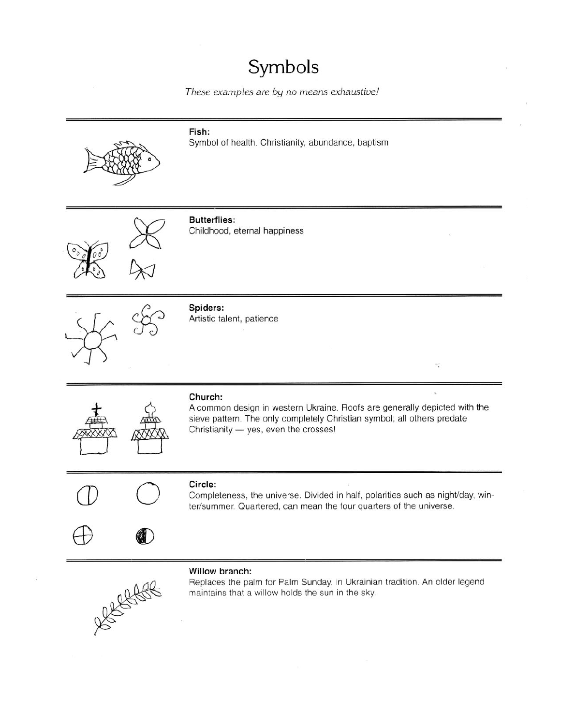These examples are by no means exhaustive!

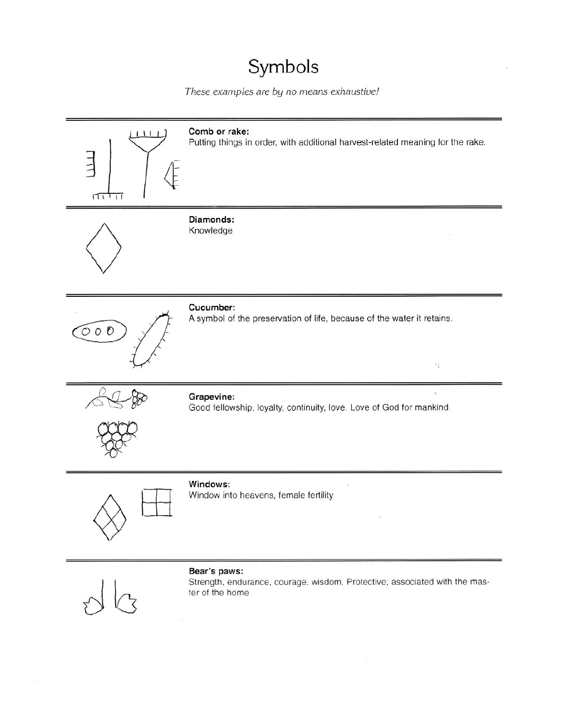These examples are by no means exhaustive!

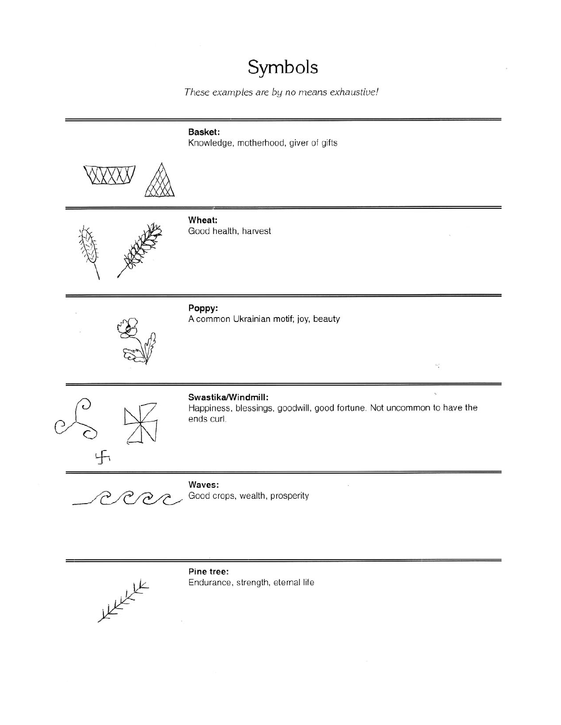These examples are by no means exhaustive!



![](_page_7_Picture_3.jpeg)

Pine tree: Endurance, strength, eternal life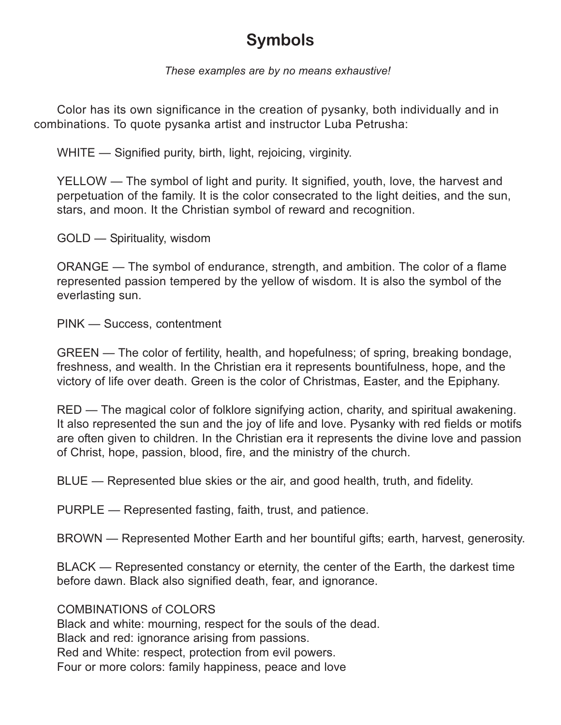These examples are by no means exhaustive!

Color has its own significance in the creation of pysanky, both individually and in combinations. To quote pysanka artist and instructor Luba Petrusha:

WHITE – Signified purity, birth, light, rejoicing, virginity.

YELLOW — The symbol of light and purity. It signified, youth, love, the harvest and perpetuation of the family. It is the color consecrated to the light deities, and the sun, stars, and moon. It the Christian symbol of reward and recognition.

GOLD — Spirituality, wisdom

ORANGE — The symbol of endurance, strength, and ambition. The color of a flame represented passion tempered by the yellow of wisdom. It is also the symbol of the everlasting sun.

PINK — Success, contentment

GREEN — The color of fertility, health, and hopefulness; of spring, breaking bondage, freshness, and wealth. In the Christian era it represents bountifulness, hope, and the victory of life over death. Green is the color of Christmas, Easter, and the Epiphany.

RED — The magical color of folklore signifying action, charity, and spiritual awakening. It also represented the sun and the joy of life and love. Pysanky with red fields or motifs are often given to children. In the Christian era it represents the divine love and passion of Christ, hope, passion, blood, fire, and the ministry of the church.

BLUE — Represented blue skies or the air, and good health, truth, and fidelity.

PURPLE — Represented fasting, faith, trust, and patience.

BROWN — Represented Mother Earth and her bountiful gifts; earth, harvest, generosity.

BLACK — Represented constancy or eternity, the center of the Earth, the darkest time before dawn. Black also signified death, fear, and ignorance.

### COMBINATIONS of COLORS

Black and white: mourning, respect for the souls of the dead.

Black and red: ignorance arising from passions.

Red and White: respect, protection from evil powers.

Four or more colors: family happiness, peace and love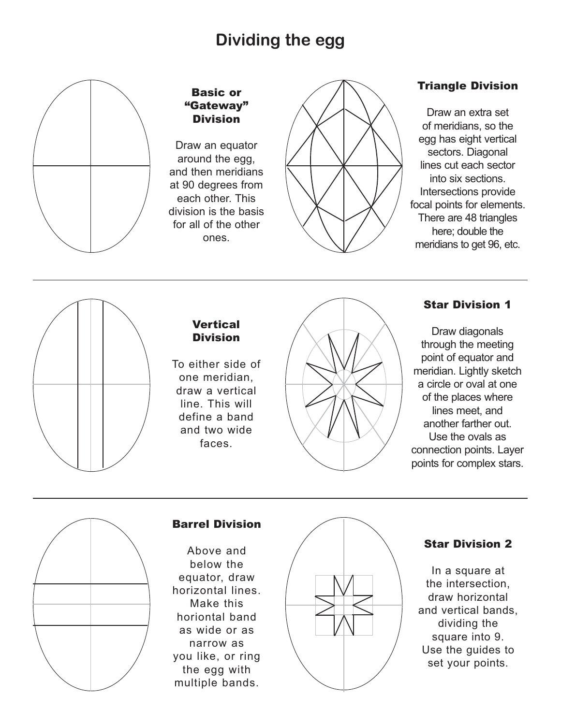## **Dividing the egg**

![](_page_9_Picture_1.jpeg)

#### Basic or "Gateway" **Division**

Draw an equator around the egg, and then meridians at 90 degrees from each other. This division is the basis for all of the other ones.

![](_page_9_Picture_4.jpeg)

### Triangle Division

Draw an extra set of meridians, so the egg has eight vertical sectors. Diagonal lines cut each sector into six sections. Intersections provide focal points for elements. There are 48 triangles here; double the meridians to get 96, etc.

![](_page_9_Picture_7.jpeg)

### **Vertical** Division

To either side of one meridian, draw a vertical line. This will define a band and two wide faces.

![](_page_9_Picture_10.jpeg)

#### Star Division 1

Draw diagonals through the meeting point of equator and meridian. Lightly sketch a circle or oval at one of the places where lines meet, and another farther out. Use the ovals as connection points. Layer points for complex stars.

![](_page_9_Figure_13.jpeg)

### Barrel Division

Above and below the equator, draw horizontal lines. Make this horiontal band as wide or as narrow as you like, or ring the egg with multiple bands.

![](_page_9_Picture_16.jpeg)

### Star Division 2

In a square at the intersection, draw horizontal and vertical bands, dividing the square into 9. Use the guides to set your points.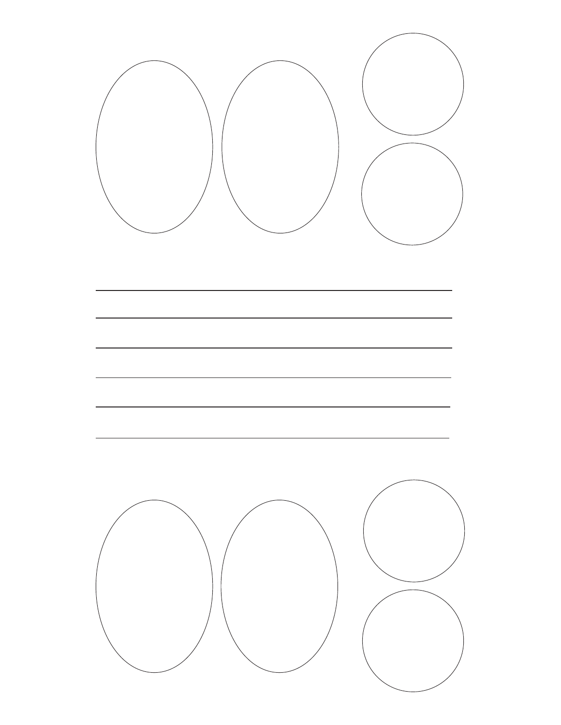![](_page_10_Picture_0.jpeg)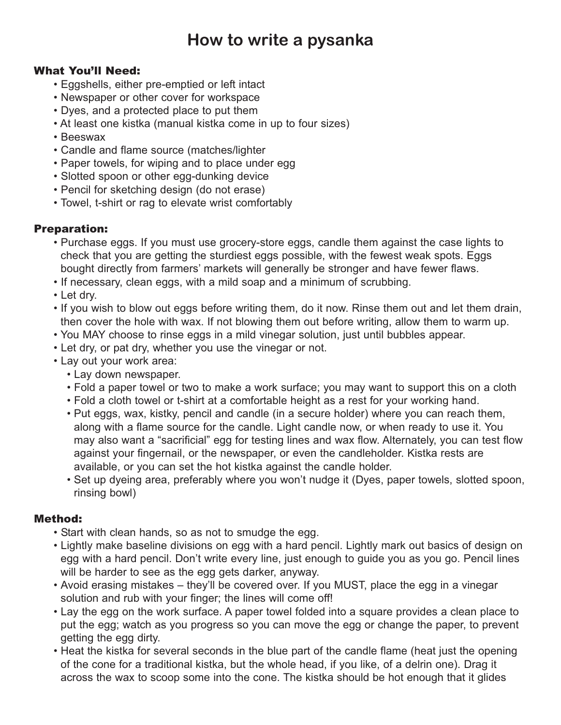## **How to write a pysanka**

#### What You'll Need:

- Eggshells, either pre-emptied or left intact
- Newspaper or other cover for workspace
- Dyes, and a protected place to put them
- At least one kistka (manual kistka come in up to four sizes)
- Beeswax
- Candle and flame source (matches/lighter
- Paper towels, for wiping and to place under egg
- Slotted spoon or other egg-dunking device
- Pencil for sketching design (do not erase)
- Towel, t-shirt or rag to elevate wrist comfortably

#### Preparation:

- Purchase eggs. If you must use grocery-store eggs, candle them against the case lights to check that you are getting the sturdiest eggs possible, with the fewest weak spots. Eggs bought directly from farmers' markets will generally be stronger and have fewer flaws.
- If necessary, clean eggs, with a mild soap and a minimum of scrubbing.
- Let dry.
- If you wish to blow out eggs before writing them, do it now. Rinse them out and let them drain, then cover the hole with wax. If not blowing them out before writing, allow them to warm up.
- You MAY choose to rinse eggs in a mild vinegar solution, just until bubbles appear.
- Let dry, or pat dry, whether you use the vinegar or not.
- Lay out your work area:
	- Lay down newspaper.
	- Fold a paper towel or two to make a work surface; you may want to support this on a cloth
	- Fold a cloth towel or t-shirt at a comfortable height as a rest for your working hand.
	- Put eggs, wax, kistky, pencil and candle (in a secure holder) where you can reach them, along with a flame source for the candle. Light candle now, or when ready to use it. You may also want a "sacrificial" egg for testing lines and wax flow. Alternately, you can test flow against your fingernail, or the newspaper, or even the candleholder. Kistka rests are available, or you can set the hot kistka against the candle holder.
	- Set up dyeing area, preferably where you won't nudge it (Dyes, paper towels, slotted spoon, rinsing bowl)

#### Method:

- Start with clean hands, so as not to smudge the egg.
- Lightly make baseline divisions on egg with a hard pencil. Lightly mark out basics of design on egg with a hard pencil. Don't write every line, just enough to guide you as you go. Pencil lines will be harder to see as the egg gets darker, anyway.
- Avoid erasing mistakes they'll be covered over. If you MUST, place the egg in a vinegar solution and rub with your finger; the lines will come off!
- Lay the egg on the work surface. A paper towel folded into a square provides a clean place to put the egg; watch as you progress so you can move the egg or change the paper, to prevent getting the egg dirty.
- Heat the kistka for several seconds in the blue part of the candle flame (heat just the opening of the cone for a traditional kistka, but the whole head, if you like, of a delrin one). Drag it across the wax to scoop some into the cone. The kistka should be hot enough that it glides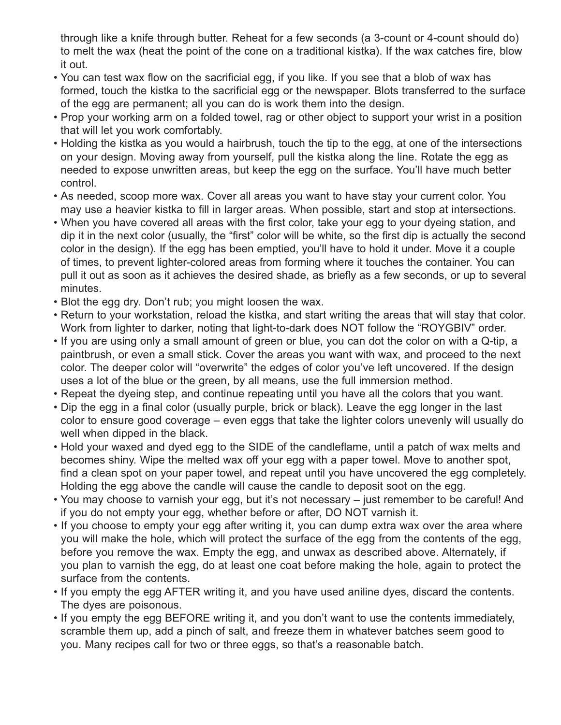through like a knife through butter. Reheat for a few seconds (a 3-count or 4-count should do) to melt the wax (heat the point of the cone on a traditional kistka). If the wax catches fire, blow it out.

- You can test wax flow on the sacrificial egg, if you like. If you see that a blob of wax has formed, touch the kistka to the sacrificial egg or the newspaper. Blots transferred to the surface of the egg are permanent; all you can do is work them into the design.
- Prop your working arm on a folded towel, rag or other object to support your wrist in a position that will let you work comfortably.
- Holding the kistka as you would a hairbrush, touch the tip to the egg, at one of the intersections on your design. Moving away from yourself, pull the kistka along the line. Rotate the egg as needed to expose unwritten areas, but keep the egg on the surface. You'll have much better control.
- As needed, scoop more wax. Cover all areas you want to have stay your current color. You may use a heavier kistka to fill in larger areas. When possible, start and stop at intersections.
- When you have covered all areas with the first color, take your egg to your dyeing station, and dip it in the next color (usually, the "first" color will be white, so the first dip is actually the second color in the design). If the egg has been emptied, you'll have to hold it under. Move it a couple of times, to prevent lighter-colored areas from forming where it touches the container. You can pull it out as soon as it achieves the desired shade, as briefly as a few seconds, or up to several minutes.
- Blot the egg dry. Don't rub; you might loosen the wax.
- Return to your workstation, reload the kistka, and start writing the areas that will stay that color. Work from lighter to darker, noting that light-to-dark does NOT follow the "ROYGBIV" order.
- If you are using only a small amount of green or blue, you can dot the color on with a Q-tip, a paintbrush, or even a small stick. Cover the areas you want with wax, and proceed to the next color. The deeper color will "overwrite" the edges of color you've left uncovered. If the design uses a lot of the blue or the green, by all means, use the full immersion method.
- Repeat the dyeing step, and continue repeating until you have all the colors that you want.
- Dip the egg in a final color (usually purple, brick or black). Leave the egg longer in the last color to ensure good coverage – even eggs that take the lighter colors unevenly will usually do well when dipped in the black.
- Hold your waxed and dyed egg to the SIDE of the candleflame, until a patch of wax melts and becomes shiny. Wipe the melted wax off your egg with a paper towel. Move to another spot, find a clean spot on your paper towel, and repeat until you have uncovered the egg completely. Holding the egg above the candle will cause the candle to deposit soot on the egg.
- You may choose to varnish your egg, but it's not necessary just remember to be careful! And if you do not empty your egg, whether before or after, DO NOT varnish it.
- If you choose to empty your egg after writing it, you can dump extra wax over the area where you will make the hole, which will protect the surface of the egg from the contents of the egg, before you remove the wax. Empty the egg, and unwax as described above. Alternately, if you plan to varnish the egg, do at least one coat before making the hole, again to protect the surface from the contents.
- If you empty the egg AFTER writing it, and you have used aniline dyes, discard the contents. The dyes are poisonous.
- If you empty the egg BEFORE writing it, and you don't want to use the contents immediately, scramble them up, add a pinch of salt, and freeze them in whatever batches seem good to you. Many recipes call for two or three eggs, so that's a reasonable batch.